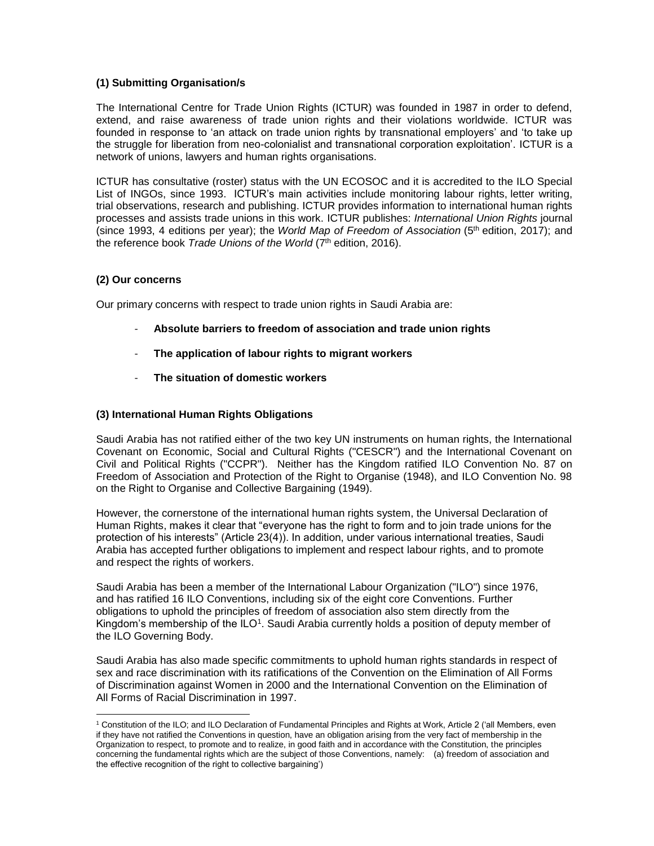## **(1) Submitting Organisation/s**

The International Centre for Trade Union Rights (ICTUR) was founded in 1987 in order to defend, extend, and raise awareness of trade union rights and their violations worldwide. ICTUR was founded in response to 'an attack on trade union rights by transnational employers' and 'to take up the struggle for liberation from neo-colonialist and transnational corporation exploitation'. ICTUR is a network of unions, lawyers and human rights organisations.

ICTUR has consultative (roster) status with the UN ECOSOC and it is accredited to the ILO Special List of INGOs, since 1993. ICTUR's main activities include monitoring labour rights, letter writing, trial observations, research and publishing. ICTUR provides information to international human rights processes and assists trade unions in this work. ICTUR publishes: *International Union Rights* journal (since 1993, 4 editions per year); the *World Map of Freedom of Association* (5th edition, 2017); and the reference book *Trade Unions of the World* (7<sup>th</sup> edition, 2016).

### **(2) Our concerns**

l

Our primary concerns with respect to trade union rights in Saudi Arabia are:

- **Absolute barriers to freedom of association and trade union rights**
- **The application of labour rights to migrant workers**
- **The situation of domestic workers**

### **(3) International Human Rights Obligations**

Saudi Arabia has not ratified either of the two key UN instruments on human rights, the International Covenant on Economic, Social and Cultural Rights ("CESCR") and the International Covenant on Civil and Political Rights ("CCPR"). Neither has the Kingdom ratified ILO Convention No. 87 on Freedom of Association and Protection of the Right to Organise (1948), and ILO Convention No. 98 on the Right to Organise and Collective Bargaining (1949).

However, the cornerstone of the international human rights system, the Universal Declaration of Human Rights, makes it clear that "everyone has the right to form and to join trade unions for the protection of his interests" (Article 23(4)). In addition, under various international treaties, Saudi Arabia has accepted further obligations to implement and respect labour rights, and to promote and respect the rights of workers.

Saudi Arabia has been a member of the International Labour Organization ("ILO") since 1976, and has ratified 16 ILO Conventions, including six of the eight core Conventions. Further obligations to uphold the principles of freedom of association also stem directly from the Kingdom's membership of the ILO<sup>1</sup>. Saudi Arabia currently holds a position of deputy member of the ILO Governing Body.

Saudi Arabia has also made specific commitments to uphold human rights standards in respect of sex and race discrimination with its ratifications of the Convention on the Elimination of All Forms of Discrimination against Women in 2000 and the International Convention on the Elimination of All Forms of Racial Discrimination in 1997.

<sup>1</sup> Constitution of the ILO; and ILO Declaration of Fundamental Principles and Rights at Work, Article 2 ('all Members, even if they have not ratified the Conventions in question, have an obligation arising from the very fact of membership in the Organization to respect, to promote and to realize, in good faith and in accordance with the Constitution, the principles concerning the fundamental rights which are the subject of those Conventions, namely: (a) freedom of association and the effective recognition of the right to collective bargaining')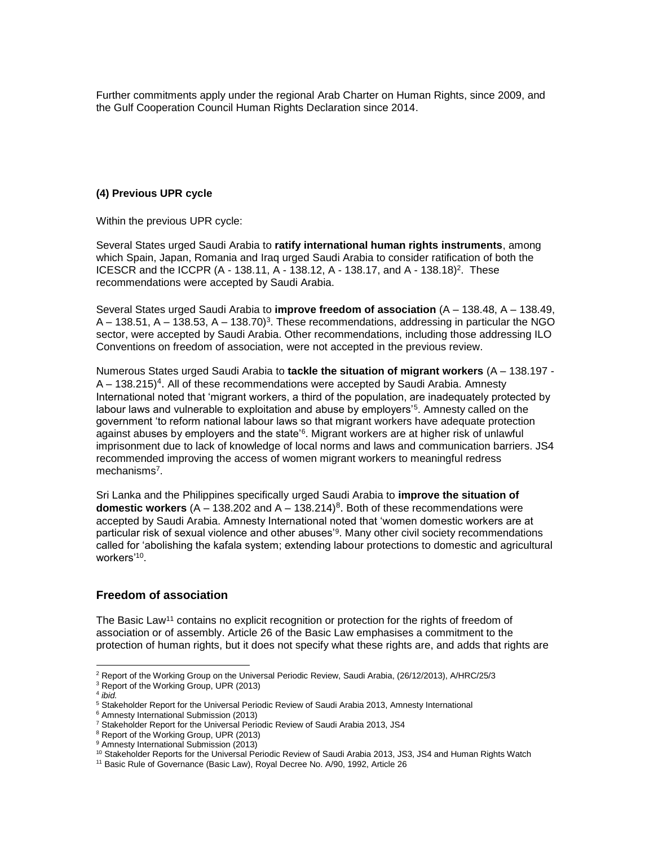Further commitments apply under the regional Arab Charter on Human Rights, since 2009, and the Gulf Cooperation Council Human Rights Declaration since 2014.

### **(4) Previous UPR cycle**

Within the previous UPR cycle:

Several States urged Saudi Arabia to **ratify international human rights instruments**, among which Spain, Japan, Romania and Iraq urged Saudi Arabia to consider ratification of both the ICESCR and the ICCPR (A - 138.11, A - 138.12, A - 138.17, and A - 138.18) 2 . These recommendations were accepted by Saudi Arabia.

Several States urged Saudi Arabia to **improve freedom of association** (A – 138.48, A – 138.49, A – 138.51, A – 138.53, A – 138.70)<sup>3</sup>. These recommendations, addressing in particular the NGO sector, were accepted by Saudi Arabia. Other recommendations, including those addressing ILO Conventions on freedom of association, were not accepted in the previous review.

Numerous States urged Saudi Arabia to **tackle the situation of migrant workers** (A – 138.197 -  $A - 138.215)^4$ . All of these recommendations were accepted by Saudi Arabia. Amnesty International noted that 'migrant workers, a third of the population, are inadequately protected by labour laws and vulnerable to exploitation and abuse by employers'<sup>5</sup> . Amnesty called on the government 'to reform national labour laws so that migrant workers have adequate protection against abuses by employers and the state'<sup>6</sup>. Migrant workers are at higher risk of unlawful imprisonment due to lack of knowledge of local norms and laws and communication barriers. JS4 recommended improving the access of women migrant workers to meaningful redress mechanisms<sup>7</sup>.

Sri Lanka and the Philippines specifically urged Saudi Arabia to **improve the situation of domestic workers**  $(A - 138.202$  and  $A - 138.214)^8$ . Both of these recommendations were accepted by Saudi Arabia. Amnesty International noted that 'women domestic workers are at particular risk of sexual violence and other abuses'<sup>9</sup> . Many other civil society recommendations called for 'abolishing the kafala system; extending labour protections to domestic and agricultural workers'<sup>10</sup> .

# **Freedom of association**

The Basic Law<sup>11</sup> contains no explicit recognition or protection for the rights of freedom of association or of assembly. Article 26 of the Basic Law emphasises a commitment to the protection of human rights, but it does not specify what these rights are, and adds that rights are

l <sup>2</sup> Report of the Working Group on the Universal Periodic Review, Saudi Arabia, (26/12/2013), A/HRC/25/3

<sup>3</sup> Report of the Working Group, UPR (2013)

<sup>4</sup> *ibid.*

<sup>&</sup>lt;sup>5</sup> Stakeholder Report for the Universal Periodic Review of Saudi Arabia 2013, Amnesty International

<sup>6</sup> Amnesty International Submission (2013)

<sup>7</sup> Stakeholder Report for the Universal Periodic Review of Saudi Arabia 2013, JS4

<sup>&</sup>lt;sup>8</sup> Report of the Working Group, UPR (2013)

<sup>&</sup>lt;sup>9</sup> Amnesty International Submission (2013)

<sup>&</sup>lt;sup>10</sup> Stakeholder Reports for the Universal Periodic Review of Saudi Arabia 2013, JS3, JS4 and Human Rights Watch

<sup>&</sup>lt;sup>11</sup> Basic Rule of Governance (Basic Law), Royal Decree No. A/90, 1992, Article 26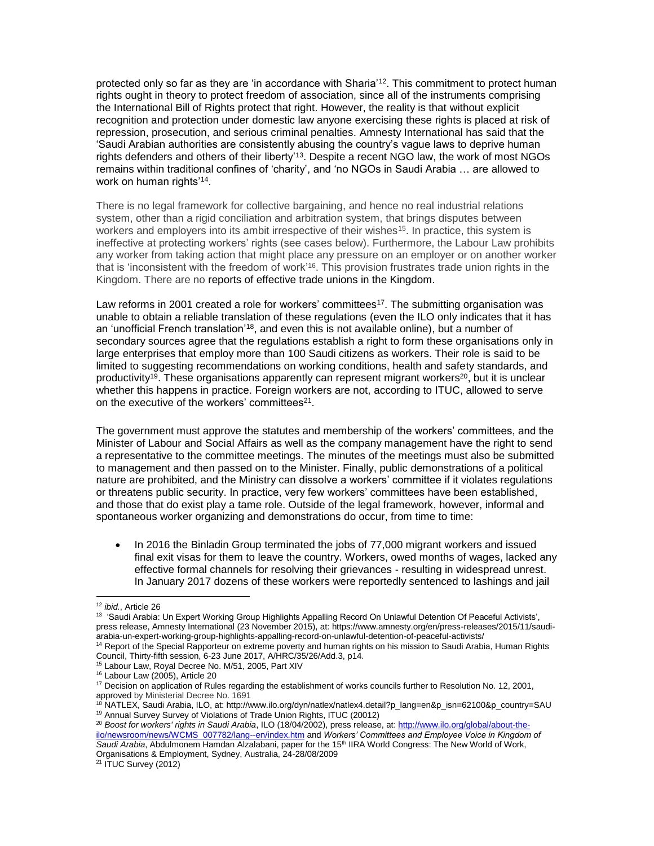protected only so far as they are 'in accordance with Sharia'<sup>12</sup> . This commitment to protect human rights ought in theory to protect freedom of association, since all of the instruments comprising the International Bill of Rights protect that right. However, the reality is that without explicit recognition and protection under domestic law anyone exercising these rights is placed at risk of repression, prosecution, and serious criminal penalties. Amnesty International has said that the 'Saudi Arabian authorities are consistently abusing the country's vague laws to deprive human rights defenders and others of their liberty'<sup>13</sup>. Despite a recent NGO law, the work of most NGOs remains within traditional confines of 'charity', and 'no NGOs in Saudi Arabia … are allowed to work on human rights'<sup>14</sup> .

There is no legal framework for collective bargaining, and hence no real industrial relations system, other than a rigid conciliation and arbitration system, that brings disputes between workers and employers into its ambit irrespective of their wishes<sup>15</sup>. In practice, this system is ineffective at protecting workers' rights (see cases below). Furthermore, the Labour Law prohibits any worker from taking action that might place any pressure on an employer or on another worker that is 'inconsistent with the freedom of work'<sup>16</sup>. This provision frustrates trade union rights in the Kingdom. There are no reports of effective trade unions in the Kingdom.

Law reforms in 2001 created a role for workers' committees<sup>17</sup>. The submitting organisation was unable to obtain a reliable translation of these regulations (even the ILO only indicates that it has an 'unofficial French translation'<sup>18</sup>, and even this is not available online), but a number of secondary sources agree that the regulations establish a right to form these organisations only in large enterprises that employ more than 100 Saudi citizens as workers. Their role is said to be limited to suggesting recommendations on working conditions, health and safety standards, and productivity<sup>19</sup>. These organisations apparently can represent migrant workers<sup>20</sup>, but it is unclear whether this happens in practice. Foreign workers are not, according to ITUC, allowed to serve on the executive of the workers' committees<sup>21</sup>.

The government must approve the statutes and membership of the workers' committees, and the Minister of Labour and Social Affairs as well as the company management have the right to send a representative to the committee meetings. The minutes of the meetings must also be submitted to management and then passed on to the Minister. Finally, public demonstrations of a political nature are prohibited, and the Ministry can dissolve a workers' committee if it violates regulations or threatens public security. In practice, very few workers' committees have been established, and those that do exist play a tame role. Outside of the legal framework, however, informal and spontaneous worker organizing and demonstrations do occur, from time to time:

• In 2016 the Binladin Group terminated the jobs of 77,000 migrant workers and issued final exit visas for them to leave the country. Workers, owed months of wages, lacked any effective formal channels for resolving their grievances - resulting in widespread unrest. In January 2017 dozens of these workers were reportedly sentenced to lashings and jail

 <sup>12</sup> *ibid.*, Article 26

<sup>13</sup> 'Saudi Arabia: Un Expert Working Group Highlights Appalling Record On Unlawful Detention Of Peaceful Activists', press release, Amnesty International (23 November 2015), at: https://www.amnesty.org/en/press-releases/2015/11/saudiarabia-un-expert-working-group-highlights-appalling-record-on-unlawful-detention-of-peaceful-activists/ <sup>14</sup> Report of the Special Rapporteur on extreme poverty and human rights on his mission to Saudi Arabia, Human Rights

Council, Thirty-fifth session, 6-23 June 2017, A/HRC/35/26/Add.3, p14. <sup>5</sup> Labour Law, Royal Decree No. M/51, 2005, Part XIV

<sup>&</sup>lt;sup>16</sup> Labour Law (2005), Article 20

<sup>&</sup>lt;sup>17</sup> Decision on application of Rules regarding the establishment of works councils further to Resolution No. 12, 2001, approved by Ministerial Decree No. 1691

<sup>18</sup> NATLEX, Saudi Arabia, ILO, at: http://www.ilo.org/dyn/natlex/natlex4.detail?p\_lang=en&p\_isn=62100&p\_country=SAU <sup>19</sup> Annual Survey Survey of Violations of Trade Union Rights, ITUC (20012)

<sup>20</sup> *Boost for workers' rights in Saudi Arabia*, ILO (18/04/2002), press release, at: [http://www.ilo.org/global/about-the](http://www.ilo.org/global/about-the-ilo/newsroom/news/WCMS_007782/lang--en/index.htm)[ilo/newsroom/news/WCMS\\_007782/lang--en/index.htm](http://www.ilo.org/global/about-the-ilo/newsroom/news/WCMS_007782/lang--en/index.htm) and *Workers' Committees and Employee Voice in Kingdom of*  **Saudi Arabia, Abdulmonem Hamdan Alzalabani, paper for the 15<sup>th</sup> IIRA World Congress: The New World of Work,** Organisations & Employment, Sydney, Australia, 24-28/08/2009

 $21$  ITUC Survey (2012)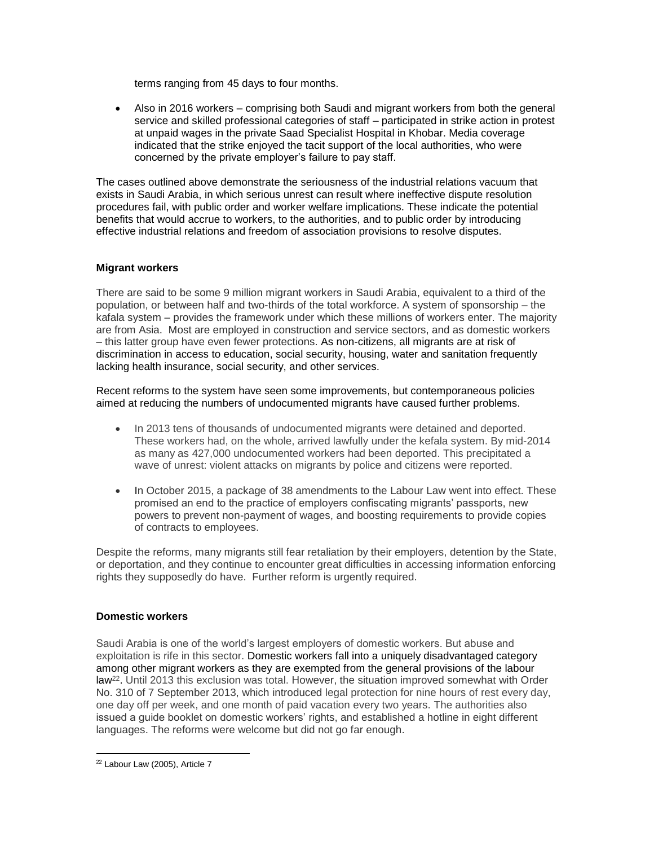terms ranging from 45 days to four months.

 Also in 2016 workers – comprising both Saudi and migrant workers from both the general service and skilled professional categories of staff – participated in strike action in protest at unpaid wages in the private Saad Specialist Hospital in Khobar. Media coverage indicated that the strike enjoyed the tacit support of the local authorities, who were concerned by the private employer's failure to pay staff.

The cases outlined above demonstrate the seriousness of the industrial relations vacuum that exists in Saudi Arabia, in which serious unrest can result where ineffective dispute resolution procedures fail, with public order and worker welfare implications. These indicate the potential benefits that would accrue to workers, to the authorities, and to public order by introducing effective industrial relations and freedom of association provisions to resolve disputes.

## **Migrant workers**

There are said to be some 9 million migrant workers in Saudi Arabia, equivalent to a third of the population, or between half and two-thirds of the total workforce. A system of sponsorship – the kafala system – provides the framework under which these millions of workers enter. The majority are from Asia. Most are employed in construction and service sectors, and as domestic workers – this latter group have even fewer protections. As non-citizens, all migrants are at risk of discrimination in access to education, social security, housing, water and sanitation frequently lacking health insurance, social security, and other services.

Recent reforms to the system have seen some improvements, but contemporaneous policies aimed at reducing the numbers of undocumented migrants have caused further problems.

- In 2013 tens of thousands of undocumented migrants were detained and deported. These workers had, on the whole, arrived lawfully under the kefala system. By mid-2014 as many as 427,000 undocumented workers had been deported. This precipitated a wave of unrest: violent attacks on migrants by police and citizens were reported.
- In October 2015, a package of 38 amendments to the Labour Law went into effect. These promised an end to the practice of employers confiscating migrants' passports, new powers to prevent non-payment of wages, and boosting requirements to provide copies of contracts to employees.

Despite the reforms, many migrants still fear retaliation by their employers, detention by the State, or deportation, and they continue to encounter great difficulties in accessing information enforcing rights they supposedly do have. Further reform is urgently required.

### **Domestic workers**

Saudi Arabia is one of the world's largest employers of domestic workers. But abuse and exploitation is rife in this sector. Domestic workers fall into a uniquely disadvantaged category among other migrant workers as they are exempted from the general provisions of the labour law<sup>22</sup>. Until 2013 this exclusion was total. However, the situation improved somewhat with Order No. 310 of 7 September 2013, which introduced legal protection for nine hours of rest every day, one day off per week, and one month of paid vacation every two years. The authorities also issued a guide booklet on domestic workers' rights, and established a hotline in eight different languages. The reforms were welcome but did not go far enough.

l

<sup>&</sup>lt;sup>22</sup> Labour Law (2005), Article 7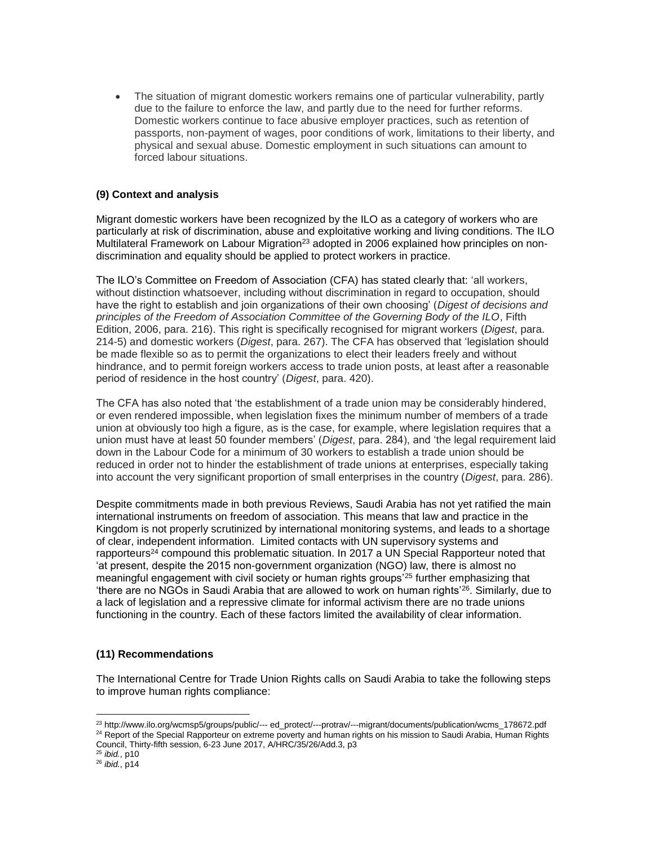The situation of migrant domestic workers remains one of particular vulnerability, partly due to the failure to enforce the law, and partly due to the need for further reforms. Domestic workers continue to face abusive employer practices, such as retention of passports, non-payment of wages, poor conditions of work, limitations to their liberty, and physical and sexual abuse. Domestic employment in such situations can amount to forced labour situations.

### **(9) Context and analysis**

Migrant domestic workers have been recognized by the ILO as a category of workers who are particularly at risk of discrimination, abuse and exploitative working and living conditions. The ILO Multilateral Framework on Labour Migration<sup>23</sup> adopted in 2006 explained how principles on nondiscrimination and equality should be applied to protect workers in practice.

The ILO's Committee on Freedom of Association (CFA) has stated clearly that: 'all workers, without distinction whatsoever, including without discrimination in regard to occupation, should have the right to establish and join organizations of their own choosing' (*Digest of decisions and principles of the Freedom of Association Committee of the Governing Body of the ILO*, Fifth Edition, 2006, para. 216). This right is specifically recognised for migrant workers (*Digest*, para. 214-5) and domestic workers (*Digest*, para. 267). The CFA has observed that 'legislation should be made flexible so as to permit the organizations to elect their leaders freely and without hindrance, and to permit foreign workers access to trade union posts, at least after a reasonable period of residence in the host country' (*Digest*, para. 420).

The CFA has also noted that 'the establishment of a trade union may be considerably hindered, or even rendered impossible, when legislation fixes the minimum number of members of a trade union at obviously too high a figure, as is the case, for example, where legislation requires that a union must have at least 50 founder members' (*Digest*, para. 284), and 'the legal requirement laid down in the Labour Code for a minimum of 30 workers to establish a trade union should be reduced in order not to hinder the establishment of trade unions at enterprises, especially taking into account the very significant proportion of small enterprises in the country (*Digest*, para. 286).

Despite commitments made in both previous Reviews, Saudi Arabia has not yet ratified the main international instruments on freedom of association. This means that law and practice in the Kingdom is not properly scrutinized by international monitoring systems, and leads to a shortage of clear, independent information. Limited contacts with UN supervisory systems and rapporteurs<sup>24</sup> compound this problematic situation. In 2017 a UN Special Rapporteur noted that 'at present, despite the 2015 non-government organization (NGO) law, there is almost no meaningful engagement with civil society or human rights groups'<sup>25</sup> further emphasizing that 'there are no NGOs in Saudi Arabia that are allowed to work on human rights'<sup>26</sup>. Similarly, due to a lack of legislation and a repressive climate for informal activism there are no trade unions functioning in the country. Each of these factors limited the availability of clear information.

### **(11) Recommendations**

The International Centre for Trade Union Rights calls on Saudi Arabia to take the following steps to improve human rights compliance:

l

<sup>23</sup> http://www.ilo.org/wcmsp5/groups/public/--- ed\_protect/---protrav/---migrant/documents/publication/wcms\_178672.pdf <sup>24</sup> Report of the Special Rapporteur on extreme poverty and human rights on his mission to Saudi Arabia, Human Rights

Council, Thirty-fifth session, 6-23 June 2017, A/HRC/35/26/Add.3, p3 <sup>25</sup> *ibid.*, p10

<sup>26</sup> *ibid.*, p14